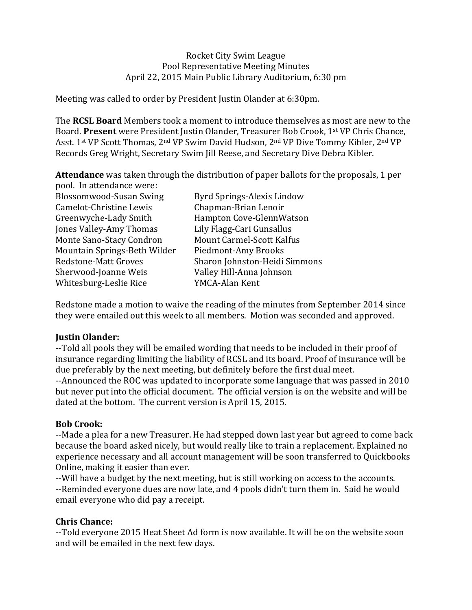## Rocket City Swim League Pool Representative Meeting Minutes April 22, 2015 Main Public Library Auditorium, 6:30 pm

Meeting was called to order by President Justin Olander at 6:30pm.

**The RCSL Board** Members took a moment to introduce themselves as most are new to the Board. Present were President Justin Olander, Treasurer Bob Crook, 1<sup>st</sup> VP Chris Chance, Asst. 1<sup>st</sup> VP Scott Thomas, 2<sup>nd</sup> VP Swim David Hudson, 2<sup>nd</sup> VP Dive Tommy Kibler, 2<sup>nd</sup> VP Records Greg Wright, Secretary Swim Jill Reese, and Secretary Dive Debra Kibler.

**Attendance** was taken through the distribution of paper ballots for the proposals, 1 per pool. In attendance were:

| <b>Blossomwood-Susan Swing</b> | Byrd Springs-Alexis Lindow       |
|--------------------------------|----------------------------------|
| Camelot-Christine Lewis        | Chapman-Brian Lenoir             |
| Greenwyche-Lady Smith          | Hampton Cove-GlennWatson         |
| Jones Valley-Amy Thomas        | Lily Flagg-Cari Gunsallus        |
| Monte Sano-Stacy Condron       | <b>Mount Carmel-Scott Kalfus</b> |
| Mountain Springs-Beth Wilder   | Piedmont-Amy Brooks              |
| <b>Redstone-Matt Groves</b>    | Sharon Johnston-Heidi Simmons    |
| Sherwood-Joanne Weis           | Valley Hill-Anna Johnson         |
| Whitesburg-Leslie Rice         | YMCA-Alan Kent                   |
|                                |                                  |

Redstone made a motion to waive the reading of the minutes from September 2014 since they were emailed out this week to all members. Motion was seconded and approved.

## **Justin Olander:**

--Told all pools they will be emailed wording that needs to be included in their proof of insurance regarding limiting the liability of RCSL and its board. Proof of insurance will be due preferably by the next meeting, but definitely before the first dual meet. --Announced the ROC was updated to incorporate some language that was passed in 2010 but never put into the official document. The official version is on the website and will be dated at the bottom. The current version is April 15, 2015.

# **Bob Crook:**

--Made a plea for a new Treasurer. He had stepped down last year but agreed to come back because the board asked nicely, but would really like to train a replacement. Explained no experience necessary and all account management will be soon transferred to Quickbooks Online, making it easier than ever.

--Will have a budget by the next meeting, but is still working on access to the accounts. --Reminded everyone dues are now late, and 4 pools didn't turn them in. Said he would email everyone who did pay a receipt.

## **Chris Chance:**

--Told everyone 2015 Heat Sheet Ad form is now available. It will be on the website soon and will be emailed in the next few days.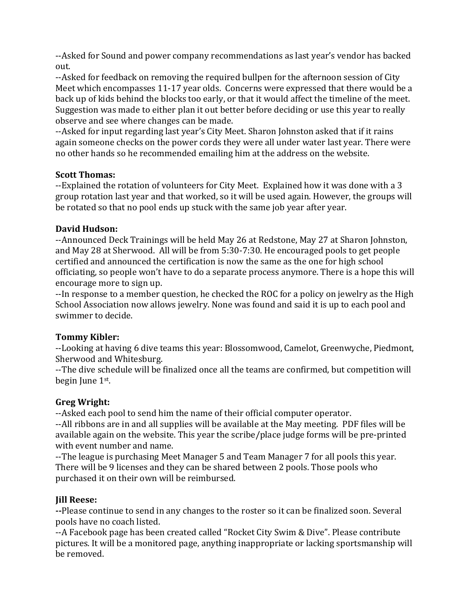--Asked for Sound and power company recommendations as last year's vendor has backed out. 

--Asked for feedback on removing the required bullpen for the afternoon session of City Meet which encompasses 11-17 year olds. Concerns were expressed that there would be a back up of kids behind the blocks too early, or that it would affect the timeline of the meet. Suggestion was made to either plan it out better before deciding or use this year to really observe and see where changes can be made.

--Asked for input regarding last year's City Meet. Sharon Johnston asked that if it rains again someone checks on the power cords they were all under water last year. There were no other hands so he recommended emailing him at the address on the website.

## **Scott Thomas:**

--Explained the rotation of volunteers for City Meet. Explained how it was done with a 3 group rotation last year and that worked, so it will be used again. However, the groups will be rotated so that no pool ends up stuck with the same job year after year.

# **David Hudson:**

--Announced Deck Trainings will be held May 26 at Redstone, May 27 at Sharon Johnston, and May 28 at Sherwood. All will be from 5:30-7:30. He encouraged pools to get people certified and announced the certification is now the same as the one for high school officiating, so people won't have to do a separate process anymore. There is a hope this will encourage more to sign up.

--In response to a member question, he checked the ROC for a policy on jewelry as the High School Association now allows jewelry. None was found and said it is up to each pool and swimmer to decide.

# **Tommy Kibler:**

--Looking at having 6 dive teams this year: Blossomwood, Camelot, Greenwyche, Piedmont, Sherwood and Whitesburg.

--The dive schedule will be finalized once all the teams are confirmed, but competition will begin  $\text{June } 1^{\text{st}}$ .

# **Greg Wright:**

--Asked each pool to send him the name of their official computer operator.

--All ribbons are in and all supplies will be available at the May meeting. PDF files will be available again on the website. This year the scribe/place judge forms will be pre-printed with event number and name.

--The league is purchasing Meet Manager 5 and Team Manager 7 for all pools this year. There will be 9 licenses and they can be shared between 2 pools. Those pools who purchased it on their own will be reimbursed.

# **Jill Reese:**

**--Please continue to send in any changes to the roster so it can be finalized soon. Several** pools have no coach listed.

--A Facebook page has been created called "Rocket City Swim & Dive". Please contribute pictures. It will be a monitored page, anything inappropriate or lacking sportsmanship will be removed.